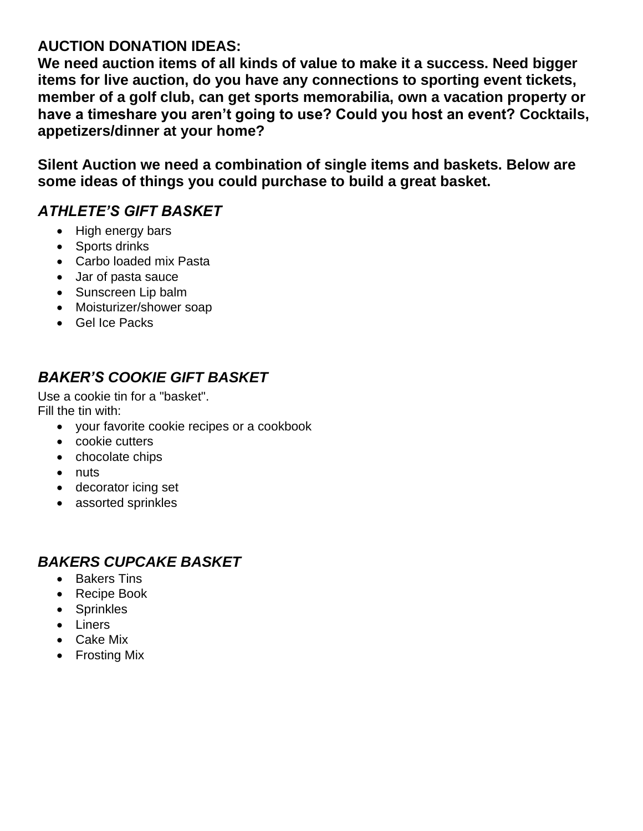#### **AUCTION DONATION IDEAS:**

**We need auction items of all kinds of value to make it a success. Need bigger items for live auction, do you have any connections to sporting event tickets, member of a golf club, can get sports memorabilia, own a vacation property or have a timeshare you aren't going to use? Could you host an event? Cocktails, appetizers/dinner at your home?**

**Silent Auction we need a combination of single items and baskets. Below are some ideas of things you could purchase to build a great basket.** 

#### *ATHLETE'S GIFT BASKET*

- High energy bars
- Sports drinks
- Carbo loaded mix Pasta
- Jar of pasta sauce
- Sunscreen Lip balm
- Moisturizer/shower soap
- Gel Ice Packs

# *BAKER'S COOKIE GIFT BASKET*

Use a cookie tin for a "basket". Fill the tin with:

- your favorite cookie recipes or a cookbook
- cookie cutters
- chocolate chips
- nuts
- decorator icing set
- assorted sprinkles

## *BAKERS CUPCAKE BASKET*

- Bakers Tins
- Recipe Book
- Sprinkles
- Liners
- Cake Mix
- Frosting Mix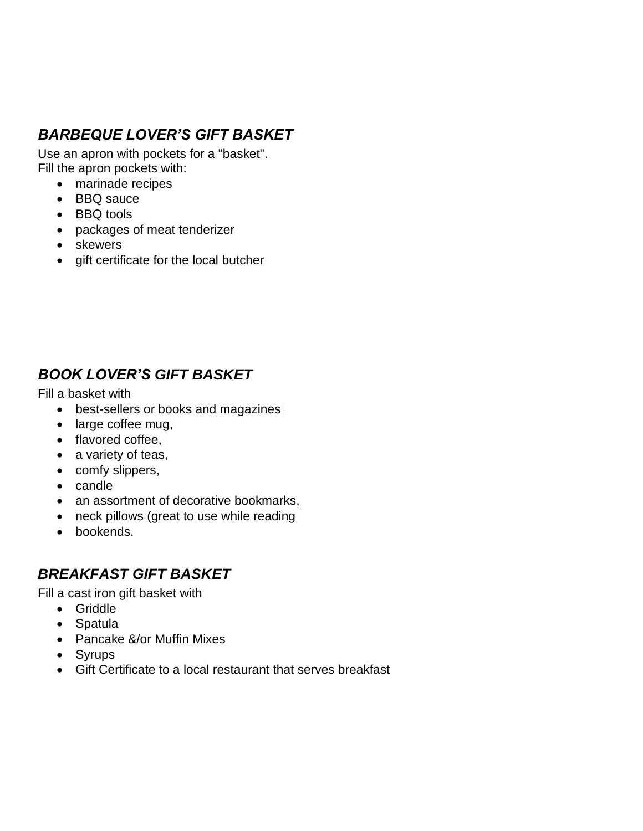# *BARBEQUE LOVER'S GIFT BASKET*

Use an apron with pockets for a "basket". Fill the apron pockets with:

- marinade recipes
- BBQ sauce
- BBQ tools
- packages of meat tenderizer
- skewers
- gift certificate for the local butcher

### *BOOK LOVER'S GIFT BASKET*

Fill a basket with

- best-sellers or books and magazines
- large coffee mug,
- flavored coffee.
- a variety of teas,
- comfy slippers,
- candle
- an assortment of decorative bookmarks,
- neck pillows (great to use while reading
- bookends.

### *BREAKFAST GIFT BASKET*

Fill a cast iron gift basket with

- Griddle
- Spatula
- Pancake &/or Muffin Mixes
- Syrups
- Gift Certificate to a local restaurant that serves breakfast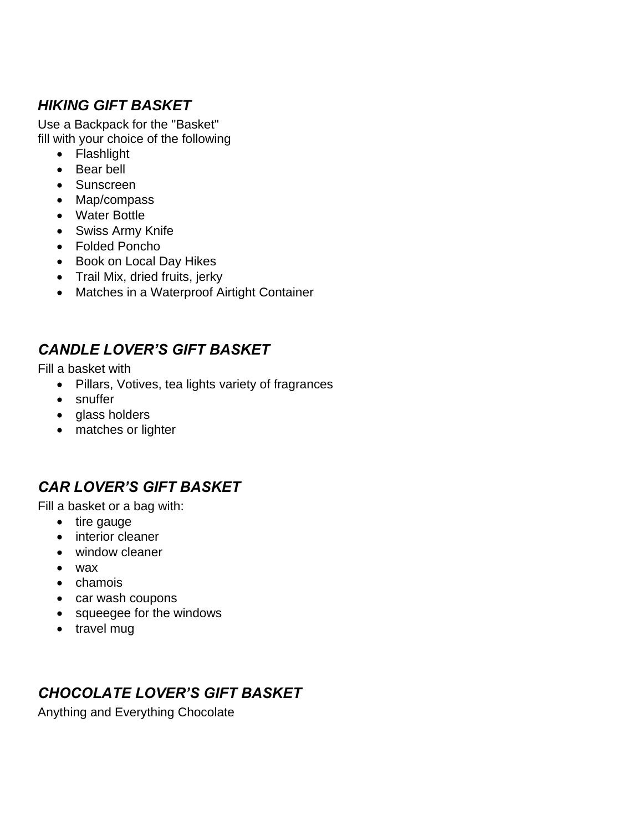### *HIKING GIFT BASKET*

Use a Backpack for the "Basket" fill with your choice of the following

- Flashlight
- Bear bell
- Sunscreen
- Map/compass
- Water Bottle
- Swiss Army Knife
- Folded Poncho
- Book on Local Day Hikes
- Trail Mix, dried fruits, jerky
- Matches in a Waterproof Airtight Container

## *CANDLE LOVER'S GIFT BASKET*

Fill a basket with

- Pillars, Votives, tea lights variety of fragrances
- snuffer
- glass holders
- matches or lighter

### *CAR LOVER'S GIFT BASKET*

Fill a basket or a bag with:

- tire gauge
- interior cleaner
- window cleaner
- wax
- chamois
- car wash coupons
- squeegee for the windows
- travel mug

### *CHOCOLATE LOVER'S GIFT BASKET*

Anything and Everything Chocolate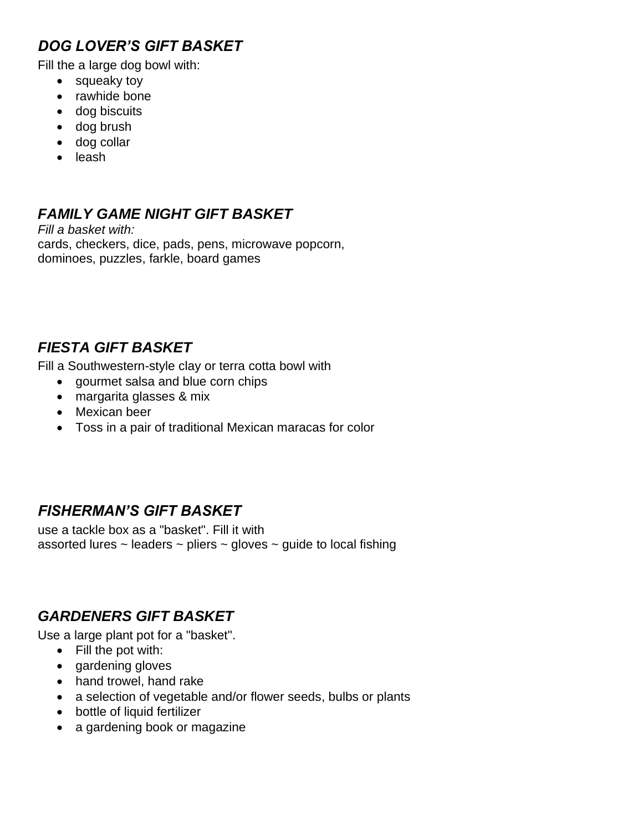### *DOG LOVER'S GIFT BASKET*

Fill the a large dog bowl with:

- squeaky toy
- rawhide bone
- dog biscuits
- dog brush
- dog collar
- leash

# *FAMILY GAME NIGHT GIFT BASKET*

*Fill a basket with:* cards, checkers, dice, pads, pens, microwave popcorn, dominoes, puzzles, farkle, board games

## *FIESTA GIFT BASKET*

Fill a Southwestern-style clay or terra cotta bowl with

- gourmet salsa and blue corn chips
- margarita glasses & mix
- Mexican beer
- Toss in a pair of traditional Mexican maracas for color

### *FISHERMAN'S GIFT BASKET*

use a tackle box as a "basket". Fill it with assorted lures  $\sim$  leaders  $\sim$  pliers  $\sim$  gloves  $\sim$  guide to local fishing

### *GARDENERS GIFT BASKET*

Use a large plant pot for a "basket".

- Fill the pot with:
- gardening gloves
- hand trowel, hand rake
- a selection of vegetable and/or flower seeds, bulbs or plants
- bottle of liquid fertilizer
- a gardening book or magazine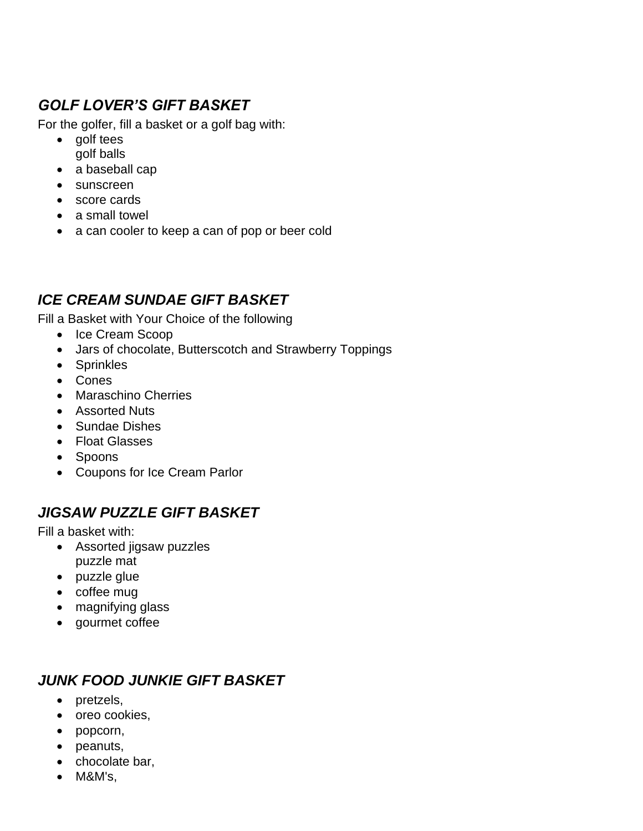# *GOLF LOVER'S GIFT BASKET*

For the golfer, fill a basket or a golf bag with:

- golf tees golf balls
- a baseball cap
- sunscreen
- score cards
- a small towel
- a can cooler to keep a can of pop or beer cold

### *ICE CREAM SUNDAE GIFT BASKET*

Fill a Basket with Your Choice of the following

- Ice Cream Scoop
- Jars of chocolate, Butterscotch and Strawberry Toppings
- Sprinkles
- Cones
- Maraschino Cherries
- Assorted Nuts
- Sundae Dishes
- Float Glasses
- Spoons
- Coupons for Ice Cream Parlor

### *JIGSAW PUZZLE GIFT BASKET*

Fill a basket with:

- Assorted jigsaw puzzles puzzle mat
- puzzle glue
- coffee mug
- magnifying glass
- gourmet coffee

## *JUNK FOOD JUNKIE GIFT BASKET*

- pretzels,
- oreo cookies,
- popcorn,
- peanuts,
- chocolate bar,
- M&M's,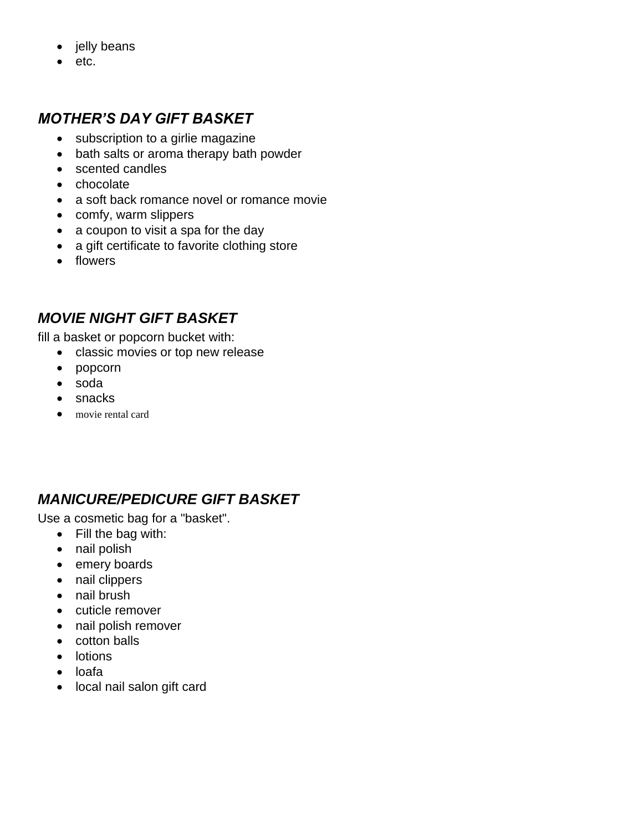- jelly beans
- etc.

#### *MOTHER'S DAY GIFT BASKET*

- subscription to a girlie magazine
- bath salts or aroma therapy bath powder
- scented candles
- chocolate
- a soft back romance novel or romance movie
- comfy, warm slippers
- a coupon to visit a spa for the day
- a gift certificate to favorite clothing store
- flowers

### *MOVIE NIGHT GIFT BASKET*

fill a basket or popcorn bucket with:

- classic movies or top new release
- popcorn
- soda
- snacks
- movie rental card

## *MANICURE/PEDICURE GIFT BASKET*

Use a cosmetic bag for a "basket".

- Fill the bag with:
- nail polish
- emery boards
- nail clippers
- nail brush
- cuticle remover
- nail polish remover
- cotton balls
- lotions
- loafa
- local nail salon gift card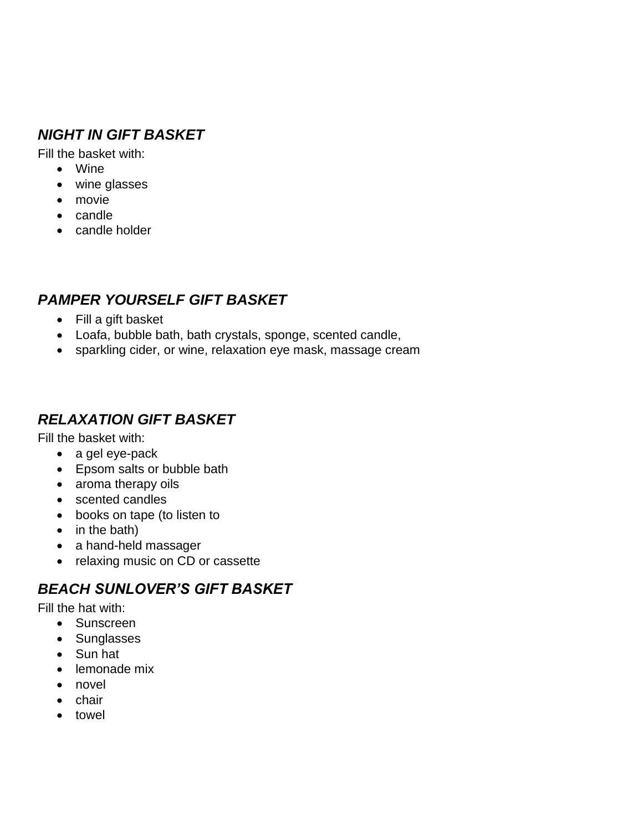## *NIGHT IN GIFT BASKET*

Fill the basket with:

- Wine
- wine glasses
- movie
- candle
- candle holder

# *PAMPER YOURSELF GIFT BASKET*

- Fill a gift basket
- Loafa, bubble bath, bath crystals, sponge, scented candle,
- sparkling cider, or wine, relaxation eye mask, massage cream

### *RELAXATION GIFT BASKET*

Fill the basket with:

- a gel eye-pack
- Epsom salts or bubble bath
- aroma therapy oils
- scented candles
- books on tape (to listen to
- in the bath)
- a hand-held massager
- relaxing music on CD or cassette

### *BEACH SUNLOVER'S GIFT BASKET*

Fill the hat with:

- Sunscreen
- Sunglasses
- Sun hat
- lemonade mix
- novel
- chair
- towel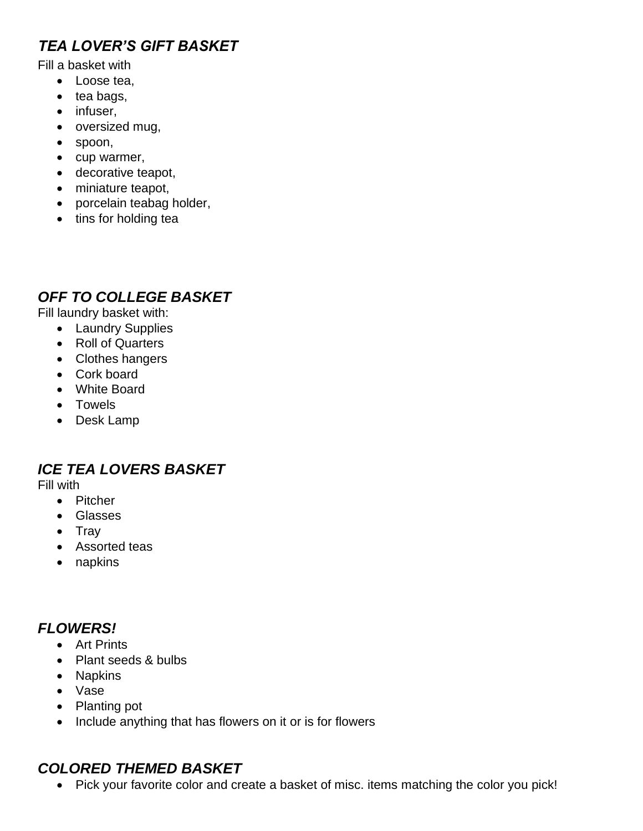# *TEA LOVER'S GIFT BASKET*

Fill a basket with

- Loose tea,
- tea bags,
- infuser,
- oversized mug,
- spoon,
- cup warmer,
- decorative teapot,
- miniature teapot,
- porcelain teabag holder,
- tins for holding tea

### *OFF TO COLLEGE BASKET*

Fill laundry basket with:

- Laundry Supplies
- Roll of Quarters
- Clothes hangers
- Cork board
- White Board
- Towels
- Desk Lamp

### *ICE TEA LOVERS BASKET*

Fill with

- Pitcher
- Glasses
- Tray
- Assorted teas
- napkins

## *FLOWERS!*

- Art Prints
- Plant seeds & bulbs
- Napkins
- Vase
- Planting pot
- Include anything that has flowers on it or is for flowers

# *COLORED THEMED BASKET*

• Pick your favorite color and create a basket of misc. items matching the color you pick!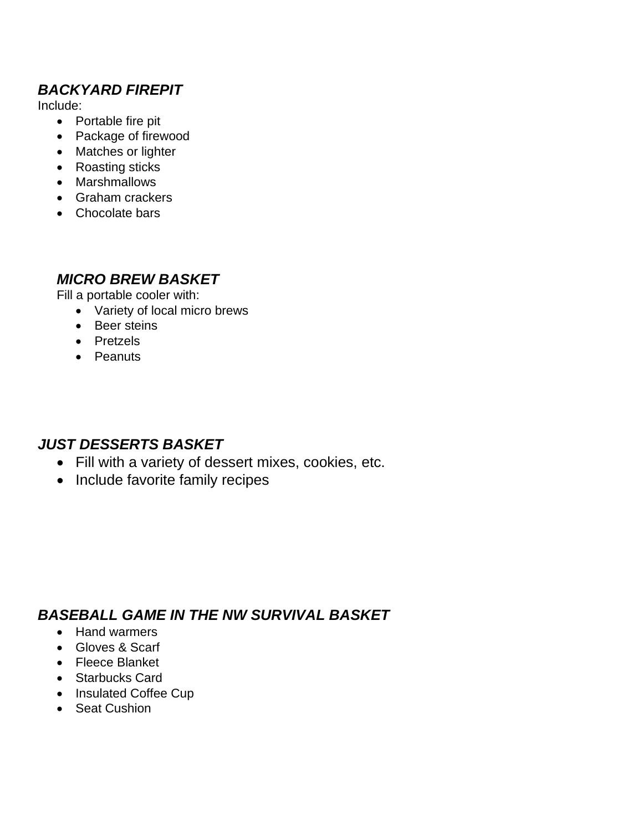## *BACKYARD FIREPIT*

Include:

- Portable fire pit
- Package of firewood
- Matches or lighter
- Roasting sticks
- Marshmallows
- Graham crackers
- Chocolate bars

#### *MICRO BREW BASKET*

Fill a portable cooler with:

- Variety of local micro brews
- Beer steins
- Pretzels
- Peanuts

### *JUST DESSERTS BASKET*

- Fill with a variety of dessert mixes, cookies, etc.
- Include favorite family recipes

### *BASEBALL GAME IN THE NW SURVIVAL BASKET*

- Hand warmers
- Gloves & Scarf
- Fleece Blanket
- Starbucks Card
- Insulated Coffee Cup
- Seat Cushion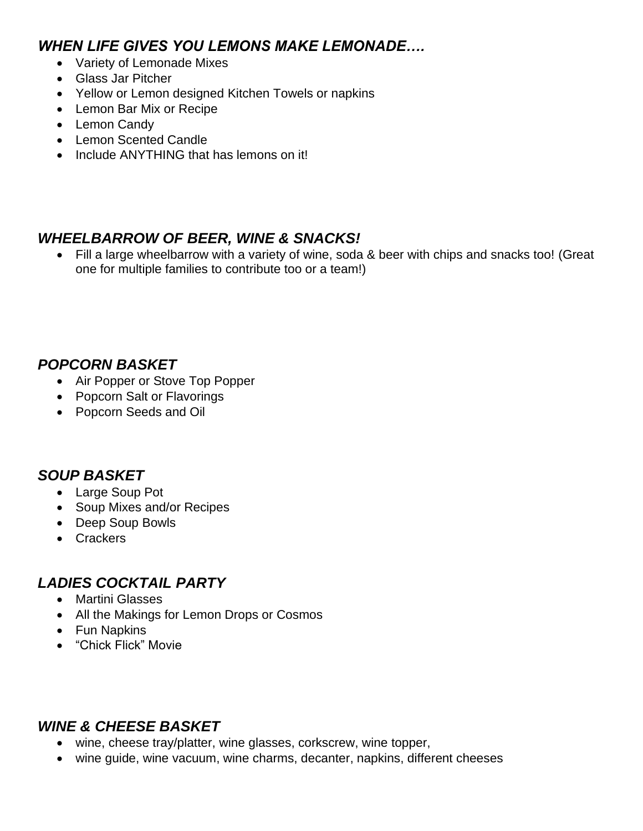#### *WHEN LIFE GIVES YOU LEMONS MAKE LEMONADE….*

- Variety of Lemonade Mixes
- Glass Jar Pitcher
- Yellow or Lemon designed Kitchen Towels or napkins
- Lemon Bar Mix or Recipe
- Lemon Candy
- Lemon Scented Candle
- Include ANYTHING that has lemons on it!

### *WHEELBARROW OF BEER, WINE & SNACKS!*

• Fill a large wheelbarrow with a variety of wine, soda & beer with chips and snacks too! (Great one for multiple families to contribute too or a team!)

### *POPCORN BASKET*

- Air Popper or Stove Top Popper
- Popcorn Salt or Flavorings
- Popcorn Seeds and Oil

#### *SOUP BASKET*

- Large Soup Pot
- Soup Mixes and/or Recipes
- Deep Soup Bowls
- Crackers

#### *LADIES COCKTAIL PARTY*

- Martini Glasses
- All the Makings for Lemon Drops or Cosmos
- Fun Napkins
- "Chick Flick" Movie

#### *WINE & CHEESE BASKET*

- wine, cheese tray/platter, wine glasses, corkscrew, wine topper,
- wine guide, wine vacuum, wine charms, decanter, napkins, different cheeses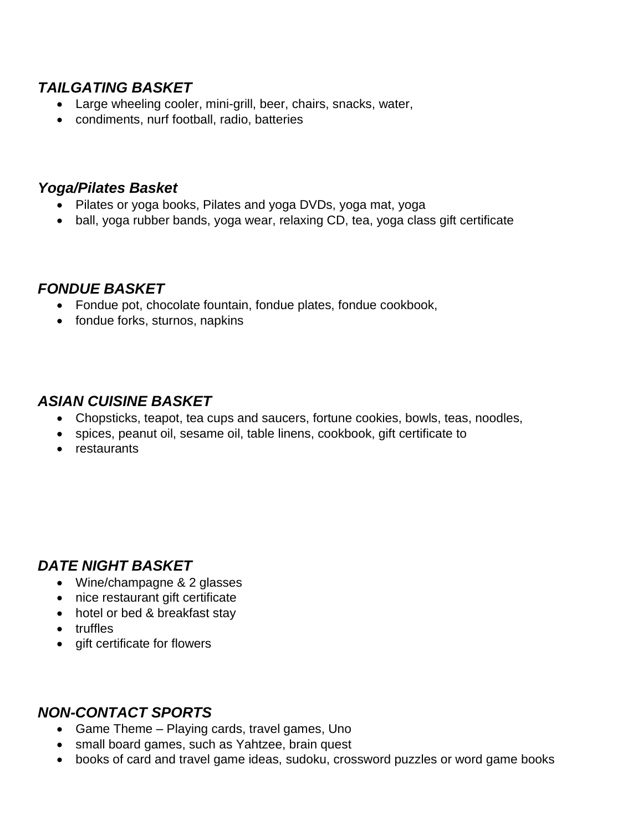### *TAILGATING BASKET*

- Large wheeling cooler, mini-grill, beer, chairs, snacks, water,
- condiments, nurf football, radio, batteries

#### *Yoga/Pilates Basket*

- Pilates or yoga books, Pilates and yoga DVDs, yoga mat, yoga
- ball, yoga rubber bands, yoga wear, relaxing CD, tea, yoga class gift certificate

#### *FONDUE BASKET*

- Fondue pot, chocolate fountain, fondue plates, fondue cookbook,
- fondue forks, sturnos, napkins

#### *ASIAN CUISINE BASKET*

- Chopsticks, teapot, tea cups and saucers, fortune cookies, bowls, teas, noodles,
- spices, peanut oil, sesame oil, table linens, cookbook, gift certificate to
- restaurants

#### *DATE NIGHT BASKET*

- Wine/champagne & 2 glasses
- nice restaurant gift certificate
- hotel or bed & breakfast stay
- truffles
- gift certificate for flowers

#### *NON-CONTACT SPORTS*

- Game Theme Playing cards, travel games, Uno
- small board games, such as Yahtzee, brain quest
- books of card and travel game ideas, sudoku, crossword puzzles or word game books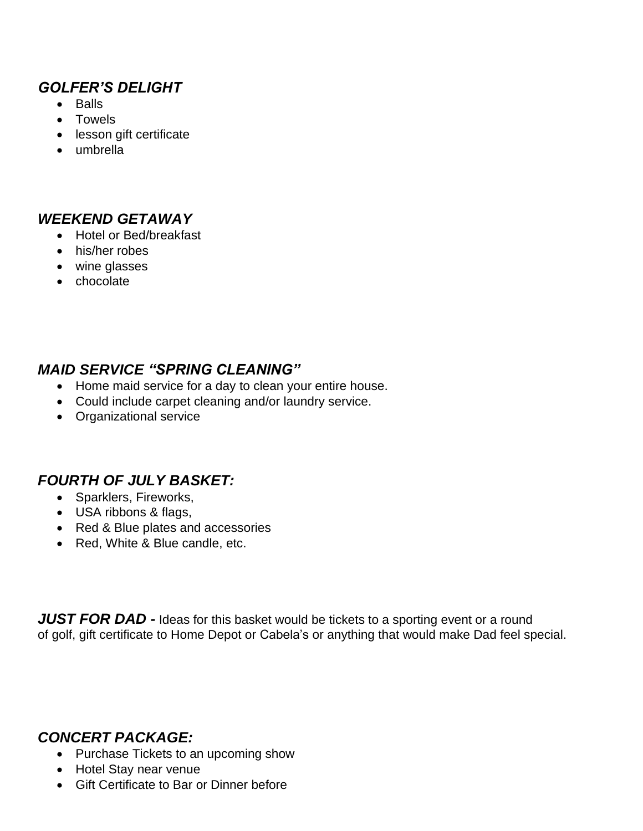### *GOLFER'S DELIGHT*

- Balls
- Towels
- lesson gift certificate
- umbrella

#### *WEEKEND GETAWAY*

- Hotel or Bed/breakfast
- his/her robes
- wine glasses
- chocolate

#### *MAID SERVICE "SPRING CLEANING"*

- Home maid service for a day to clean your entire house.
- Could include carpet cleaning and/or laundry service.
- Organizational service

### *FOURTH OF JULY BASKET:*

- Sparklers, Fireworks,
- USA ribbons & flags,
- Red & Blue plates and accessories
- Red, White & Blue candle, etc.

**JUST FOR DAD -** Ideas for this basket would be tickets to a sporting event or a round of golf, gift certificate to Home Depot or Cabela's or anything that would make Dad feel special.

### *CONCERT PACKAGE:*

- Purchase Tickets to an upcoming show
- Hotel Stay near venue
- Gift Certificate to Bar or Dinner before